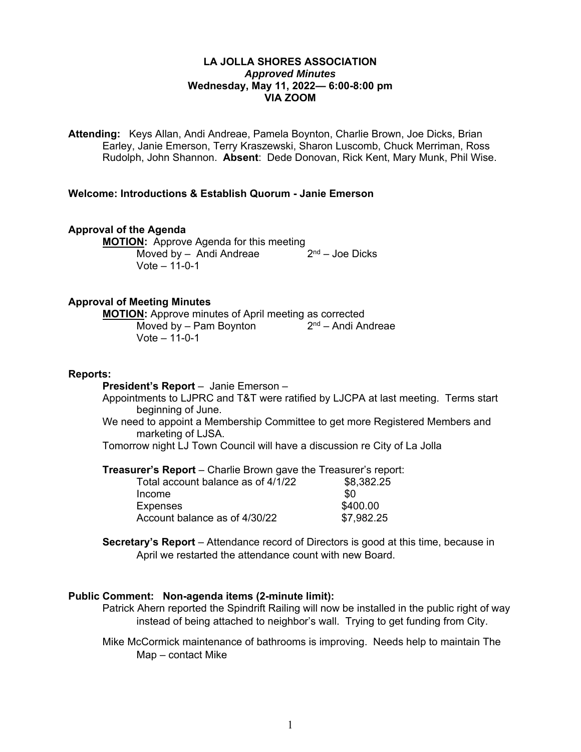# **LA JOLLA SHORES ASSOCIATION**  *Approved Minutes*  **Wednesday, May 11, 2022— 6:00-8:00 pm VIA ZOOM**

**Attending:** Keys Allan, Andi Andreae, Pamela Boynton, Charlie Brown, Joe Dicks, Brian Earley, Janie Emerson, Terry Kraszewski, Sharon Luscomb, Chuck Merriman, Ross Rudolph, John Shannon. **Absent**: Dede Donovan, Rick Kent, Mary Munk, Phil Wise.

## **Welcome: Introductions & Establish Quorum - Janie Emerson**

## **Approval of the Agenda**

**MOTION:** Approve Agenda for this meeting<br>Moved by – Andi Andreae 2<sup>nd</sup> – Joe Dicks Moved by  $-$  Andi Andreae  $V$ ote  $-11-0-1$ 

### **Approval of Meeting Minutes**

**MOTION:** Approve minutes of April meeting as corrected Moved by – Pam Boynton  $2<sup>nd</sup>$  – Andi Andreae Vote – 11-0-1

### **Reports:**

**President's Report** – Janie Emerson –

Appointments to LJPRC and T&T were ratified by LJCPA at last meeting. Terms start beginning of June.

We need to appoint a Membership Committee to get more Registered Members and marketing of LJSA.

Tomorrow night LJ Town Council will have a discussion re City of La Jolla

**Treasurer's Report** – Charlie Brown gave the Treasurer's report:

| Total account balance as of 4/1/22 | \$8,382.25 |
|------------------------------------|------------|
| Income                             | \$0        |
| <b>Expenses</b>                    | \$400.00   |
| Account balance as of 4/30/22      | \$7,982.25 |

**Secretary's Report** – Attendance record of Directors is good at this time, because in April we restarted the attendance count with new Board.

## **Public Comment: Non-agenda items (2-minute limit):**

Patrick Ahern reported the Spindrift Railing will now be installed in the public right of way instead of being attached to neighbor's wall. Trying to get funding from City.

Mike McCormick maintenance of bathrooms is improving. Needs help to maintain The Map – contact Mike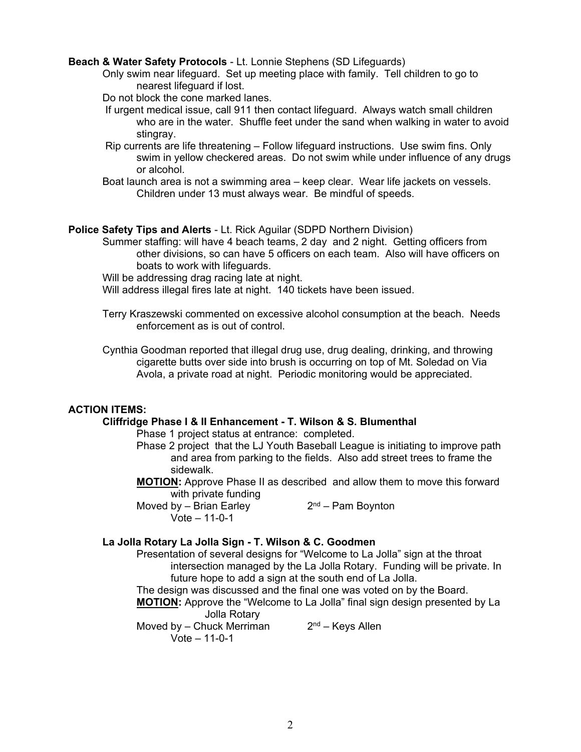## **Beach & Water Safety Protocols** - Lt. Lonnie Stephens (SD Lifeguards)

- Only swim near lifeguard. Set up meeting place with family. Tell children to go to nearest lifeguard if lost.
- Do not block the cone marked lanes.
- If urgent medical issue, call 911 then contact lifeguard. Always watch small children who are in the water. Shuffle feet under the sand when walking in water to avoid stingray.
- Rip currents are life threatening Follow lifeguard instructions. Use swim fins. Only swim in yellow checkered areas. Do not swim while under influence of any drugs or alcohol.
- Boat launch area is not a swimming area keep clear. Wear life jackets on vessels. Children under 13 must always wear. Be mindful of speeds.

# **Police Safety Tips and Alerts** - Lt. Rick Aguilar (SDPD Northern Division)

Summer staffing: will have 4 beach teams, 2 day and 2 night. Getting officers from other divisions, so can have 5 officers on each team. Also will have officers on boats to work with lifeguards.

Will be addressing drag racing late at night.

Will address illegal fires late at night. 140 tickets have been issued.

Terry Kraszewski commented on excessive alcohol consumption at the beach. Needs enforcement as is out of control.

Cynthia Goodman reported that illegal drug use, drug dealing, drinking, and throwing cigarette butts over side into brush is occurring on top of Mt. Soledad on Via Avola, a private road at night. Periodic monitoring would be appreciated.

# **ACTION ITEMS:**

# **Cliffridge Phase I & II Enhancement - T. Wilson & S. Blumenthal**

Phase 1 project status at entrance: completed.

- Phase 2 project that the LJ Youth Baseball League is initiating to improve path and area from parking to the fields. Also add street trees to frame the sidewalk.
- **MOTION:** Approve Phase II as described and allow them to move this forward with private funding

Moved by – Brian Earley  $2<sup>nd</sup>$  – Pam Boynton Vote – 11-0-1

# **La Jolla Rotary La Jolla Sign - T. Wilson & C. Goodmen**

Presentation of several designs for "Welcome to La Jolla" sign at the throat intersection managed by the La Jolla Rotary. Funding will be private. In future hope to add a sign at the south end of La Jolla.

The design was discussed and the final one was voted on by the Board.

 **MOTION:** Approve the "Welcome to La Jolla" final sign design presented by La Jolla Rotary

Moved by – Chuck Merriman  $2<sup>nd</sup>$  – Keys Allen Vote – 11-0-1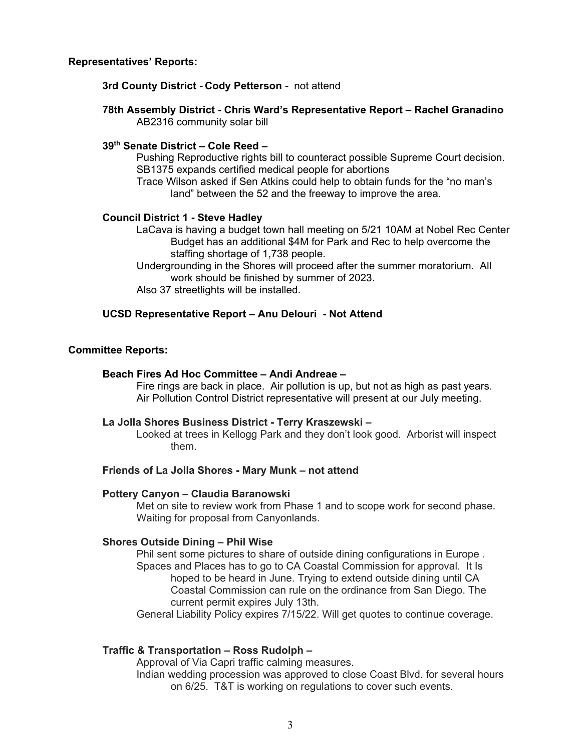# **Representatives' Reports:**

## **3rd County District - Cody Petterson -** not attend

# **78th Assembly District - Chris Ward's Representative Report – Rachel Granadino**  AB2316 community solar bill

# **39th Senate District – Cole Reed –**

Pushing Reproductive rights bill to counteract possible Supreme Court decision. SB1375 expands certified medical people for abortions

Trace Wilson asked if Sen Atkins could help to obtain funds for the "no man's land" between the 52 and the freeway to improve the area.

## **Council District 1 - Steve Hadley**

LaCava is having a budget town hall meeting on 5/21 10AM at Nobel Rec Center Budget has an additional \$4M for Park and Rec to help overcome the staffing shortage of 1,738 people.

Undergrounding in the Shores will proceed after the summer moratorium. All work should be finished by summer of 2023.

Also 37 streetlights will be installed.

# **UCSD Representative Report – Anu Delouri - Not Attend**

## **Committee Reports:**

### **Beach Fires Ad Hoc Committee – Andi Andreae –**

Fire rings are back in place. Air pollution is up, but not as high as past years. Air Pollution Control District representative will present at our July meeting.

### **La Jolla Shores Business District - Terry Kraszewski –**

Looked at trees in Kellogg Park and they don't look good. Arborist will inspect them.

### **Friends of La Jolla Shores - Mary Munk – not attend**

### **Pottery Canyon – Claudia Baranowski**

Met on site to review work from Phase 1 and to scope work for second phase. Waiting for proposal from Canyonlands.

### **Shores Outside Dining – Phil Wise**

Phil sent some pictures to share of outside dining configurations in Europe . Spaces and Places has to go to CA Coastal Commission for approval. It Is hoped to be heard in June. Trying to extend outside dining until CA Coastal Commission can rule on the ordinance from San Diego. The current permit expires July 13th.

General Liability Policy expires 7/15/22. Will get quotes to continue coverage.

# **Traffic & Transportation – Ross Rudolph –**

 Approval of Via Capri traffic calming measures. Indian wedding procession was approved to close Coast Blvd. for several hours on 6/25. T&T is working on regulations to cover such events.